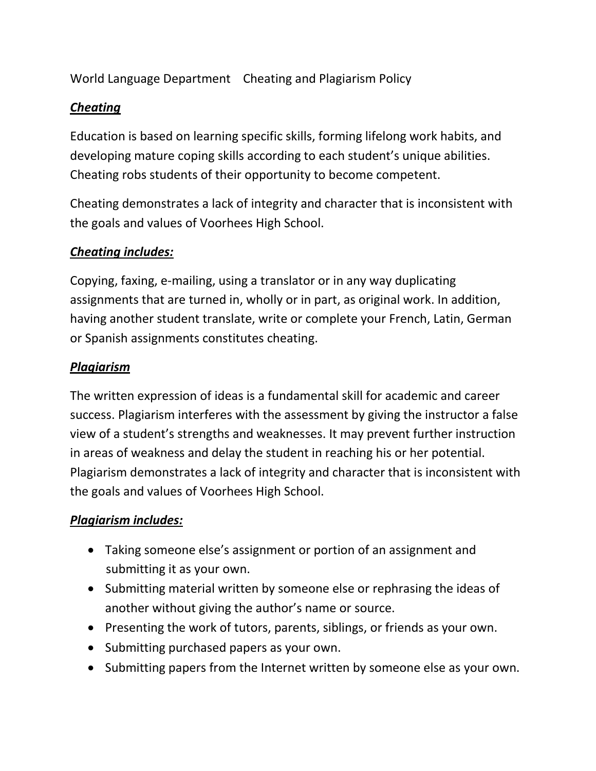World Language Department Cheating and Plagiarism Policy

# *Cheating*

Education is based on learning specific skills, forming lifelong work habits, and developing mature coping skills according to each student's unique abilities. Cheating robs students of their opportunity to become competent.

Cheating demonstrates a lack of integrity and character that is inconsistent with the goals and values of Voorhees High School.

## *Cheating includes:*

Copying, faxing, e-mailing, using a translator or in any way duplicating assignments that are turned in, wholly or in part, as original work. In addition, having another student translate, write or complete your French, Latin, German or Spanish assignments constitutes cheating.

#### *Plagiarism*

The written expression of ideas is a fundamental skill for academic and career success. Plagiarism interferes with the assessment by giving the instructor a false view of a student's strengths and weaknesses. It may prevent further instruction in areas of weakness and delay the student in reaching his or her potential. Plagiarism demonstrates a lack of integrity and character that is inconsistent with the goals and values of Voorhees High School.

# *Plagiarism includes:*

- Taking someone else's assignment or portion of an assignment and submitting it as your own.
- Submitting material written by someone else or rephrasing the ideas of another without giving the author's name or source.
- Presenting the work of tutors, parents, siblings, or friends as your own.
- Submitting purchased papers as your own.
- Submitting papers from the Internet written by someone else as your own.